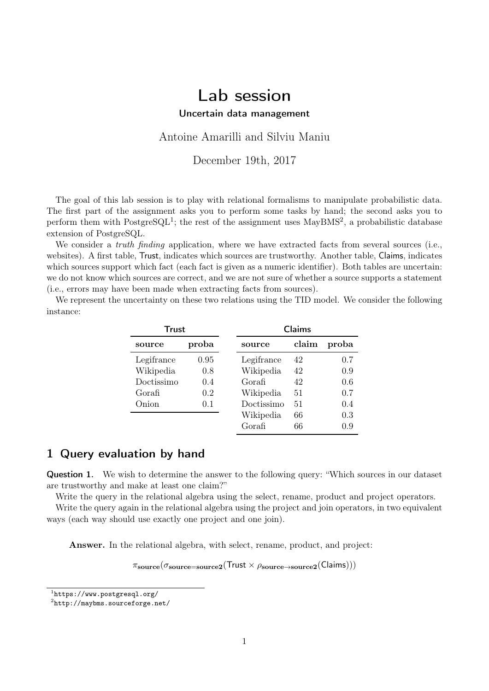# Lab session

Uncertain data management

Antoine Amarilli and Silviu Maniu

December 19th, 2017

The goal of this lab session is to play with relational formalisms to manipulate probabilistic data. The first part of the assignment asks you to perform some tasks by hand; the second asks you to perform them with  $\text{PostgresQL}^1$  $\text{PostgresQL}^1$ ; the rest of the assignment uses  $\text{MayBMS}^2$  $\text{MayBMS}^2$ , a probabilistic database extension of PostgreSQL.

We consider a *truth finding* application, where we have extracted facts from several sources (i.e., websites). A first table, Trust, indicates which sources are trustworthy. Another table, Claims, indicates which sources support which fact (each fact is given as a numeric identifier). Both tables are uncertain: we do not know which sources are correct, and we are not sure of whether a source supports a statement (i.e., errors may have been made when extracting facts from sources).

We represent the uncertainty on these two relations using the TID model. We consider the following instance:

| Trust      |       |            | Claims |       |  |  |  |
|------------|-------|------------|--------|-------|--|--|--|
| source     | proba | source     | claim  | proba |  |  |  |
| Legifrance | 0.95  | Legifrance | 42     | 0.7   |  |  |  |
| Wikipedia  | 0.8   | Wikipedia  | 42     | 0.9   |  |  |  |
| Doctissimo | 0.4   | Gorafi     | 42     | 0.6   |  |  |  |
| Gorafi     | 0.2   | Wikipedia  | 51     | 0.7   |  |  |  |
| Onion      | 0.1   | Doctissimo | 51     | 0.4   |  |  |  |
|            |       | Wikipedia  | 66     | 0.3   |  |  |  |
|            |       | Gorafi     | 66     | 0.9   |  |  |  |

#### 1 Query evaluation by hand

Question 1. We wish to determine the answer to the following query: "Which sources in our dataset are trustworthy and make at least one claim?"

Write the query in the relational algebra using the select, rename, product and project operators.

Write the query again in the relational algebra using the project and join operators, in two equivalent ways (each way should use exactly one project and one join).

Answer. In the relational algebra, with select, rename, product, and project:

 $\pi_{\text{source}}(\sigma_{\text{source=source2}}(\text{Trust} \times \rho_{\text{source}\rightarrow\text{source2}}(\text{Claims})))$ 

<span id="page-0-0"></span><sup>1</sup> <https://www.postgresql.org/>

<span id="page-0-1"></span> $^{2}$ <http://maybms.sourceforge.net/>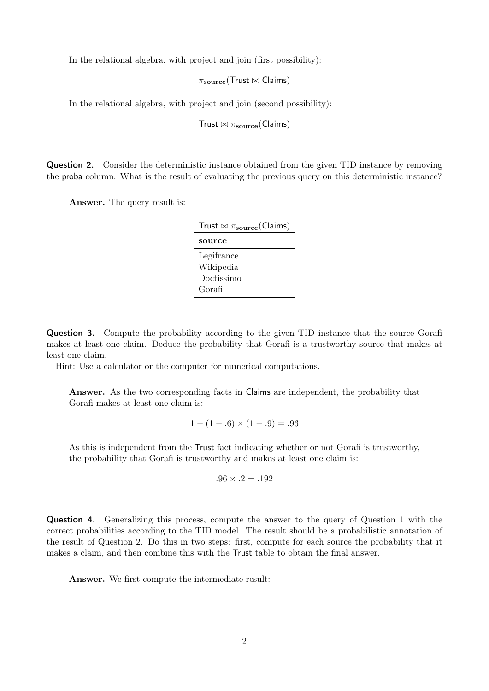In the relational algebra, with project and join (first possibility):

 $\pi_{\text{source}}(\text{Trust} \bowtie \text{Claims})$ 

In the relational algebra, with project and join (second possibility):

Trust  $\bowtie$   $\pi_{\text{source}}$ (Claims)

Question 2. Consider the deterministic instance obtained from the given TID instance by removing the proba column. What is the result of evaluating the previous query on this deterministic instance?

Answer. The query result is:

| Trust $\bowtie \pi_{\text{source}}(\text{Clains})$ |  |  |  |
|----------------------------------------------------|--|--|--|
| source                                             |  |  |  |
| Legifrance                                         |  |  |  |
| Wikipedia                                          |  |  |  |
| Doctissimo                                         |  |  |  |
| Gorafi                                             |  |  |  |

Question 3. Compute the probability according to the given TID instance that the source Gorafi makes at least one claim. Deduce the probability that Gorafi is a trustworthy source that makes at least one claim.

Hint: Use a calculator or the computer for numerical computations.

Answer. As the two corresponding facts in Claims are independent, the probability that Gorafi makes at least one claim is:

$$
1 - (1 - .6) \times (1 - .9) = .96
$$

As this is independent from the Trust fact indicating whether or not Gorafi is trustworthy, the probability that Gorafi is trustworthy and makes at least one claim is:

$$
.96 \times .2 = .192
$$

Question 4. Generalizing this process, compute the answer to the query of Question 1 with the correct probabilities according to the TID model. The result should be a probabilistic annotation of the result of Question 2. Do this in two steps: first, compute for each source the probability that it makes a claim, and then combine this with the Trust table to obtain the final answer.

Answer. We first compute the intermediate result: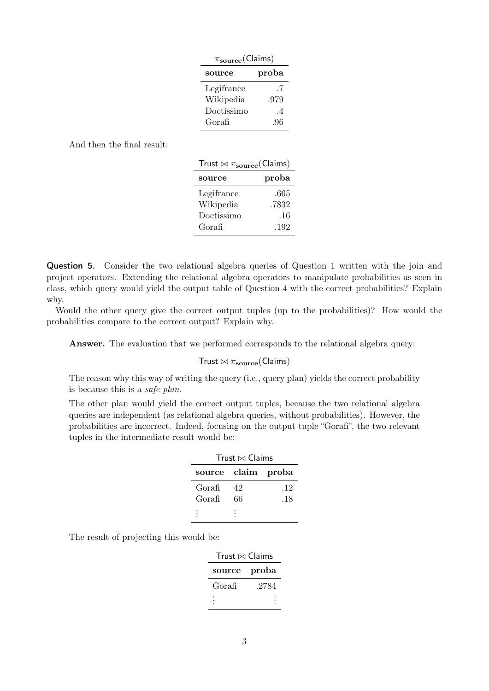| $\pi_{\rm source}(\text{Clains})$ |                |  |  |  |  |
|-----------------------------------|----------------|--|--|--|--|
| source                            | proba          |  |  |  |  |
| Legifrance                        | .7             |  |  |  |  |
| Wikipedia                         | .979           |  |  |  |  |
| Doctissimo                        | $\overline{4}$ |  |  |  |  |
| Gorafi                            | .96            |  |  |  |  |

And then the final result:

| source     | proba |
|------------|-------|
| Legifrance | .665  |
| Wikipedia  | .7832 |
| Doctissimo | .16   |
| Gorafi     | .192  |

Question 5. Consider the two relational algebra queries of Question 1 written with the join and project operators. Extending the relational algebra operators to manipulate probabilities as seen in class, which query would yield the output table of Question 4 with the correct probabilities? Explain why.

Would the other query give the correct output tuples (up to the probabilities)? How would the probabilities compare to the correct output? Explain why.

Answer. The evaluation that we performed corresponds to the relational algebra query:

#### Trust  $\bowtie \pi_{\text{source}}(\text{Clains})$

The reason why this way of writing the query (i.e., query plan) yields the correct probability is because this is a safe plan.

The other plan would yield the correct output tuples, because the two relational algebra queries are independent (as relational algebra queries, without probabilities). However, the probabilities are incorrect. Indeed, focusing on the output tuple "Gorafi", the two relevant tuples in the intermediate result would be:

| Trust $\bowtie$ Claims |    |     |  |  |  |
|------------------------|----|-----|--|--|--|
| source claim proba     |    |     |  |  |  |
| Gorafi                 | 42 | .12 |  |  |  |
| Gorafi                 | 66 | .18 |  |  |  |
|                        |    |     |  |  |  |

The result of projecting this would be:

| Trust $\bowtie$ Claims |       |  |  |  |  |
|------------------------|-------|--|--|--|--|
| source                 | proba |  |  |  |  |
| Gorafi                 | .2784 |  |  |  |  |
|                        |       |  |  |  |  |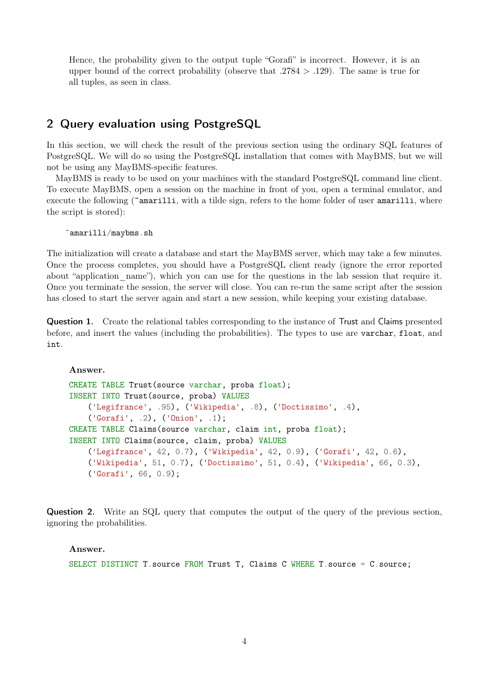Hence, the probability given to the output tuple "Gorafi" is incorrect. However, it is an upper bound of the correct probability (observe that  $.2784 > .129$ ). The same is true for all tuples, as seen in class.

#### 2 Query evaluation using PostgreSQL

In this section, we will check the result of the previous section using the ordinary SQL features of PostgreSQL. We will do so using the PostgreSQL installation that comes with MayBMS, but we will not be using any MayBMS-specific features.

MayBMS is ready to be used on your machines with the standard PostgreSQL command line client. To execute MayBMS, open a session on the machine in front of you, open a terminal emulator, and execute the following (~amarilli, with a tilde sign, refers to the home folder of user amarilli, where the script is stored):

~amarilli/maybms.sh

The initialization will create a database and start the MayBMS server, which may take a few minutes. Once the process completes, you should have a PostgreSQL client ready (ignore the error reported about "application name"), which you can use for the questions in the lab session that require it. Once you terminate the session, the server will close. You can re-run the same script after the session has closed to start the server again and start a new session, while keeping your existing database.

Question 1. Create the relational tables corresponding to the instance of Trust and Claims presented before, and insert the values (including the probabilities). The types to use are varchar, float, and int.

Answer.

```
CREATE TABLE Trust(source varchar, proba float);
INSERT INTO Trust(source, proba) VALUES
    ('Legifrance', .95), ('Wikipedia', .8), ('Doctissimo', .4),
    ('Gorafi', .2), ('Onion', .1);
CREATE TABLE Claims(source varchar, claim int, proba float);
INSERT INTO Claims(source, claim, proba) VALUES
    ('Legifrance', 42, 0.7), ('Wikipedia', 42, 0.9), ('Gorafi', 42, 0.6),
    ('Wikipedia', 51, 0.7), ('Doctissimo', 51, 0.4), ('Wikipedia', 66, 0.3),
    ('Gorafi', 66, 0.9);
```
Question 2. Write an SQL query that computes the output of the query of the previous section, ignoring the probabilities.

#### Answer.

SELECT DISTINCT T. source FROM Trust T, Claims C WHERE T. source = C. source;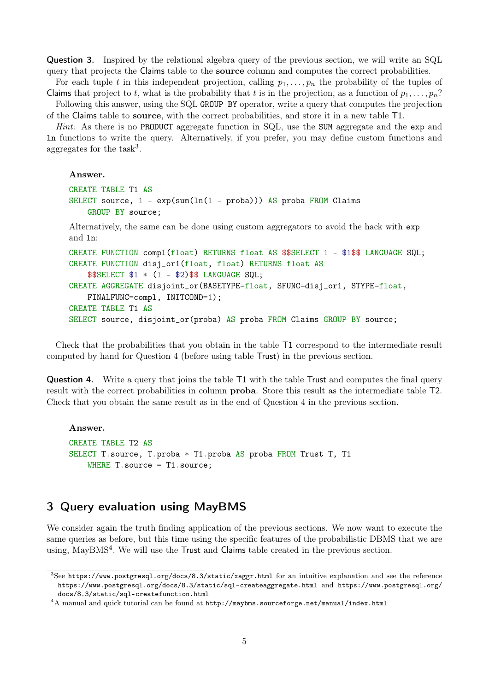Question 3. Inspired by the relational algebra query of the previous section, we will write an SQL query that projects the Claims table to the source column and computes the correct probabilities.

For each tuple t in this independent projection, calling  $p_1, \ldots, p_n$  the probability of the tuples of Claims that project to t, what is the probability that t is in the projection, as a function of  $p_1, \ldots, p_n$ ? Following this answer, using the SQL GROUP BY operator, write a query that computes the projection

of the Claims table to source, with the correct probabilities, and store it in a new table T1.

Hint: As there is no PRODUCT aggregate function in SQL, use the SUM aggregate and the exp and ln functions to write the query. Alternatively, if you prefer, you may define custom functions and aggregates for the  $task^3$  $task^3$ .

Answer.

```
CREATE TABLE T1 AS
SELECT source, 1 - exp(sum(ln(1 - proba))) AS proba FROM Claims
    GROUP BY source;
```
Alternatively, the same can be done using custom aggregators to avoid the hack with exp and ln:

```
CREATE FUNCTION compl(float) RETURNS float AS $$SELECT 1 - $1$$ LANGUAGE SQL;
CREATE FUNCTION disj_or1(float, float) RETURNS float AS
    $$SELECT $1 * (1 - $2)$$ LANGUAGE SQL;
CREATE AGGREGATE disjoint_or(BASETYPE=float, SFUNC=disj_or1, STYPE=float,
    FINALFUNC=compl, INITCOND=1);
CREATE TABLE T1 AS
SELECT source, disjoint_or(proba) AS proba FROM Claims GROUP BY source;
```
Check that the probabilities that you obtain in the table T1 correspond to the intermediate result computed by hand for Question 4 (before using table Trust) in the previous section.

Question 4. Write a query that joins the table T1 with the table Trust and computes the final query result with the correct probabilities in column proba. Store this result as the intermediate table T2. Check that you obtain the same result as in the end of Question 4 in the previous section.

Answer. CREATE TABLE T2 AS SELECT T.source, T.proba \* T1.proba AS proba FROM Trust T, T1 WHERE  $T$ . source = T1. source:

## 3 Query evaluation using MayBMS

We consider again the truth finding application of the previous sections. We now want to execute the same queries as before, but this time using the specific features of the probabilistic DBMS that we are using, MayBMS<sup>[4](#page-4-1)</sup>. We will use the Trust and Claims table created in the previous section.

<span id="page-4-0"></span><sup>3</sup>See <https://www.postgresql.org/docs/8.3/static/xaggr.html> for an intuitive explanation and see the reference <https://www.postgresql.org/docs/8.3/static/sql-createaggregate.html> and [https://www.postgresql.org/](https://www.postgresql.org/docs/8.3/static/sql-createfunction.html) [docs/8.3/static/sql-createfunction.html](https://www.postgresql.org/docs/8.3/static/sql-createfunction.html)

<span id="page-4-1"></span> $4A$  manual and quick tutorial can be found at  ${\tt http://maybms.sourcefore,net/manuel/index.html}$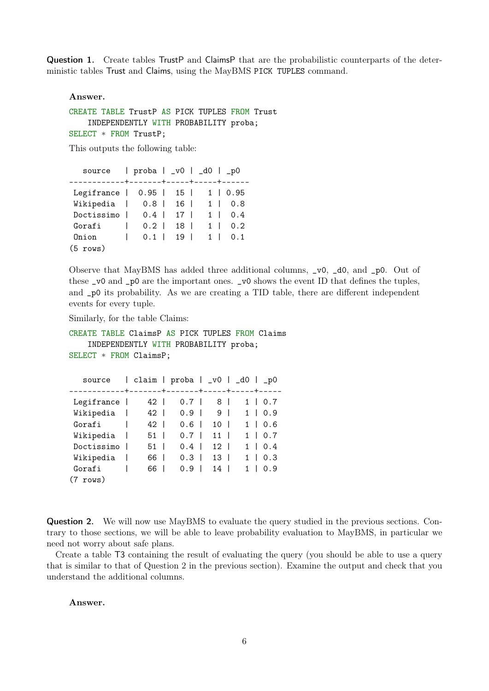Question 1. Create tables TrustP and ClaimsP that are the probabilistic counterparts of the deterministic tables Trust and Claims, using the MayBMS PICK TUPLES command.

Answer.

```
CREATE TABLE TrustP AS PICK TUPLES FROM Trust
    INDEPENDENTLY WITH PROBABILITY proba;
SELECT * FROM TrustP;
```
This outputs the following table:

| source $ $ proba $ $ $\mathsf{v0}$ $ $ $\mathsf{d0}$ $ $ $\mathsf{p0}$ |  |  |            |          |                      |
|------------------------------------------------------------------------|--|--|------------|----------|----------------------|
| Legifrance   0.95   15   1   0.95                                      |  |  |            |          |                      |
| Wikipedia   0.8   16   1   0.8                                         |  |  |            |          |                      |
| Doctissimo $\vert$ 0.4 $\vert$ 17 $\vert$                              |  |  |            | $1 \mid$ | 0.4                  |
| Gorafi<br>$\mathbb{R}$                                                 |  |  | $0.2$   18 | $1 \mid$ | 0.2                  |
| Onion<br>$\mathbb{R}$                                                  |  |  |            |          | $0.1$   19   1   0.1 |
| $(5 \text{rows})$                                                      |  |  |            |          |                      |

Observe that MayBMS has added three additional columns, \_v0, \_d0, and \_p0. Out of these \_v0 and \_p0 are the important ones. \_v0 shows the event ID that defines the tuples, and \_p0 its probability. As we are creating a TID table, there are different independent events for every tuple.

Similarly, for the table Claims:

```
CREATE TABLE ClaimsP AS PICK TUPLES FROM Claims
    INDEPENDENTLY WITH PROBABILITY proba;
SELECT * FROM ClaimsP;
```

| source             | claim | $prob_{a} \mid v0 \mid$ |     | _d0   _p0             |
|--------------------|-------|-------------------------|-----|-----------------------|
| Legifrance         | 42 l  | 0.7                     | 8 I | 1  <br>0.7            |
| Wikipedia          | 42    | 0.9                     | 9 I | 0.9<br>1.<br>I        |
| Gorafi             | 42    | 0.6                     | 10  | 0.6<br>$1 \quad$<br>L |
| Wikipedia          | 51    | 0.7                     | 11  | 0.7<br>$1 \mid$       |
| Doctissimo         | 51    | 0.4                     | 12  | 0.4<br>$1 \quad$<br>L |
| Wikipedia          | 66    | 0.3                     | 13  | 0.3<br>L              |
| Gorafi             | 66    | 0.9                     | 14  | 0.9<br>1.             |
| $(7 \text{ rows})$ |       |                         |     |                       |

Question 2. We will now use MayBMS to evaluate the query studied in the previous sections. Contrary to those sections, we will be able to leave probability evaluation to MayBMS, in particular we need not worry about safe plans.

Create a table T3 containing the result of evaluating the query (you should be able to use a query that is similar to that of Question 2 in the previous section). Examine the output and check that you understand the additional columns.

Answer.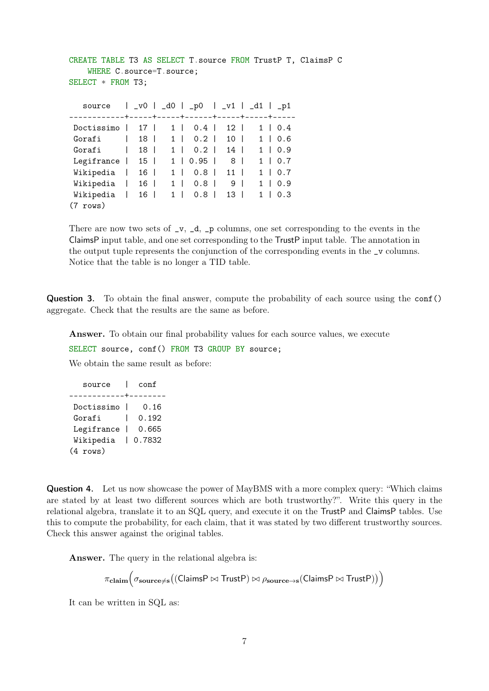```
CREATE TABLE T3 AS SELECT T.source FROM TrustP T, ClaimsP C
   WHERE C.source=T.source;
SELECT * FROM T3;
  source | _v0 | _d0 | _p0 | _v1 | _d1 | _p1
------------+-----+-----+------+-----+-----+-----
Doctissimo | 17 | 1 | 0.4 | 12 | 1 | 0.4
Gorafi | 18 | 1 | 0.2 | 10 | 1 | 0.6
Gorafi | 18 | 1 | 0.2 | 14 | 1 | 0.9
Legifrance | 15 | 1 | 0.95 | 8 | 1 | 0.7
Wikipedia | 16 | 1 | 0.8 | 11 | 1 | 0.7
Wikipedia | 16 | 1 | 0.8 | 9 | 1 | 0.9
Wikipedia | 16 | 1 | 0.8 | 13 | 1 | 0.3
(7 rows)
```
There are now two sets of  $\mathsf{v}, \mathsf{d}, \mathsf{p}$  columns, one set corresponding to the events in the ClaimsP input table, and one set corresponding to the TrustP input table. The annotation in the output tuple represents the conjunction of the corresponding events in the \_v columns. Notice that the table is no longer a TID table.

Question 3. To obtain the final answer, compute the probability of each source using the conf() aggregate. Check that the results are the same as before.

Answer. To obtain our final probability values for each source values, we execute

SELECT source, conf() FROM T3 GROUP BY source;

We obtain the same result as before:

| source            |     | conf   |  |  |  |
|-------------------|-----|--------|--|--|--|
| -----             |     |        |  |  |  |
| Doctissimo        |     | 0.16   |  |  |  |
| Gorafi            |     | 0.192  |  |  |  |
| Legifrance        | - 1 | 0.665  |  |  |  |
| Wikipedia         |     | 0.7832 |  |  |  |
| $(4 \text{rows})$ |     |        |  |  |  |

Question 4. Let us now showcase the power of MayBMS with a more complex query: "Which claims are stated by at least two different sources which are both trustworthy?". Write this query in the relational algebra, translate it to an SQL query, and execute it on the TrustP and ClaimsP tables. Use this to compute the probability, for each claim, that it was stated by two different trustworthy sources. Check this answer against the original tables.

Answer. The query in the relational algebra is:

 $\pi_{\mathbf{claim}}\big(\sigma_{\mathbf{source}\neq\mathbf{s}}\big((\mathsf{ClaimsP}\bowtie\mathsf{TrustP})\bowtie\rho_{\mathbf{source}\rightarrow\mathbf{s}}(\mathsf{ClaimsP}\bowtie\mathsf{TrustP})\big)\big)$ 

It can be written in SQL as: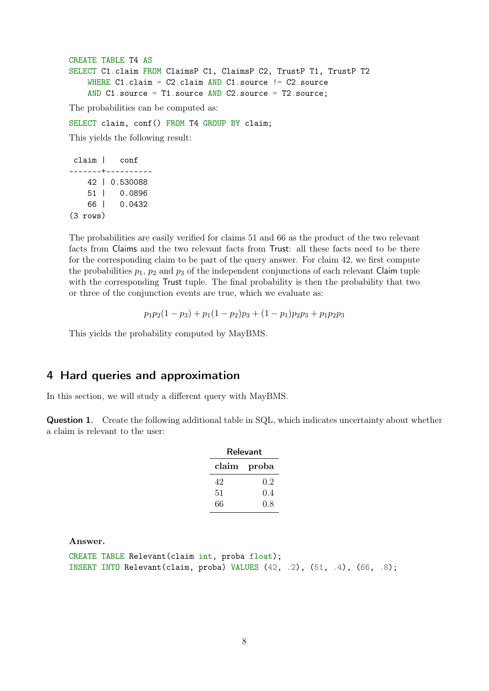```
CREATE TABLE T4 AS
SELECT C1.claim FROM ClaimsP C1, ClaimsP C2, TrustP T1, TrustP T2
    WHERE C1.claim = C2.claim AND C1.source != C2.source
    AND C1.source = T1.source AND C2.source = T2.source;
```
The probabilities can be computed as:

SELECT claim, conf() FROM T4 GROUP BY claim;

This yields the following result:

```
claim | conf
-------+----------
   42 | 0.530088
   51 | 0.0896
   66 | 0.0432
(3 rows)
```
The probabilities are easily verified for claims 51 and 66 as the product of the two relevant facts from Claims and the two relevant facts from Trust: all these facts need to be there for the corresponding claim to be part of the query answer. For claim 42, we first compute the probabilities  $p_1$ ,  $p_2$  and  $p_3$  of the independent conjunctions of each relevant Claim tuple with the corresponding Trust tuple. The final probability is then the probability that two or three of the conjunction events are true, which we evaluate as:

$$
p_1p_2(1-p_3)+p_1(1-p_2)p_3+(1-p_1)p_2p_3+p_1p_2p_3
$$

This yields the probability computed by MayBMS.

### 4 Hard queries and approximation

In this section, we will study a different query with MayBMS.

Question 1. Create the following additional table in SQL, which indicates uncertainty about whether a claim is relevant to the user:

| Relevant      |         |  |  |  |  |  |
|---------------|---------|--|--|--|--|--|
| ${\rm claim}$ | proba   |  |  |  |  |  |
| 42            | $0.2\,$ |  |  |  |  |  |
| 51            | 0.4     |  |  |  |  |  |
| 66            | 0.8     |  |  |  |  |  |

Answer.

```
CREATE TABLE Relevant(claim int, proba float);
INSERT INTO Relevant(claim, proba) VALUES (42, .2), (51, .4), (66, .8);
```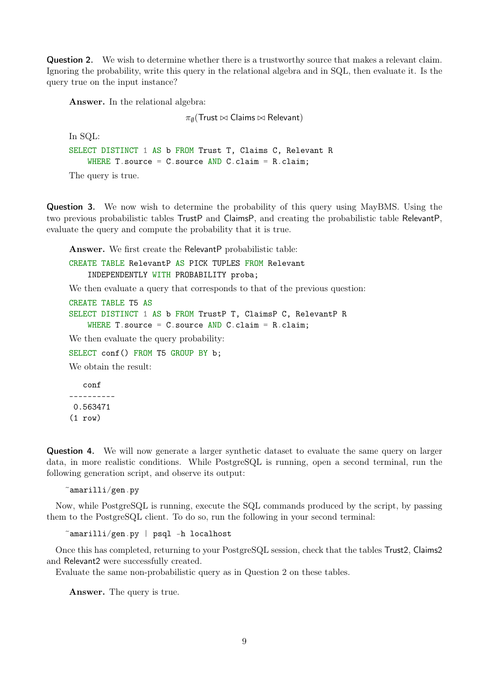Question 2. We wish to determine whether there is a trustworthy source that makes a relevant claim. Ignoring the probability, write this query in the relational algebra and in SQL, then evaluate it. Is the query true on the input instance?

Answer. In the relational algebra:

 $\pi_{\emptyset}(\mathsf{Trust} \bowtie \mathsf{Claims} \bowtie \mathsf{Relevant})$ 

```
In SQL:
SELECT DISTINCT 1 AS b FROM Trust T, Claims C, Relevant R
    WHERE T. source = C. source AND C. claim = R. claim;
The query is true.
```
Question 3. We now wish to determine the probability of this query using MayBMS. Using the two previous probabilistic tables TrustP and ClaimsP, and creating the probabilistic table RelevantP, evaluate the query and compute the probability that it is true.

Answer. We first create the RelevantP probabilistic table:

CREATE TABLE RelevantP AS PICK TUPLES FROM Relevant INDEPENDENTLY WITH PROBABILITY proba;

We then evaluate a query that corresponds to that of the previous question:

```
CREATE TABLE T5 AS
SELECT DISTINCT 1 AS b FROM TrustP T, ClaimsP C, RelevantP R
    WHERE T. source = C. source AND C. claim = R. claim;
We then evaluate the query probability:
SELECT conf() FROM T5 GROUP BY b;
We obtain the result:
   conf
```
---------- 0.563471 (1 row)

Question 4. We will now generate a larger synthetic dataset to evaluate the same query on larger data, in more realistic conditions. While PostgreSQL is running, open a second terminal, run the following generation script, and observe its output:

 $\text{``amarilli/gen.py}$ 

Now, while PostgreSQL is running, execute the SQL commands produced by the script, by passing them to the PostgreSQL client. To do so, run the following in your second terminal:

~amarilli/gen.py | psql -h localhost

Once this has completed, returning to your PostgreSQL session, check that the tables Trust2, Claims2 and Relevant2 were successfully created.

Evaluate the same non-probabilistic query as in Question 2 on these tables.

Answer. The query is true.